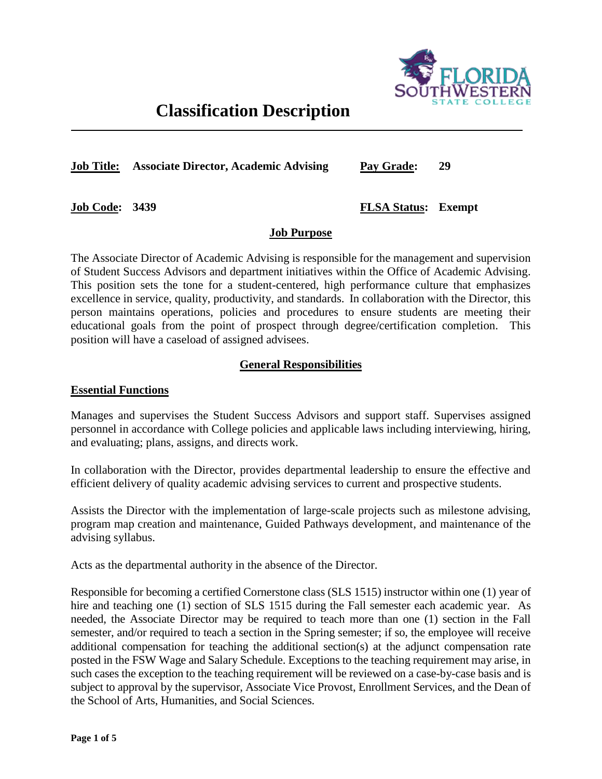

# **Classification Description**

**Job Title: Associate Director, Academic Advising Pay Grade: 29**

**Job Code: 3439**

**FLSA Status: Exempt**

### **Job Purpose**

The Associate Director of Academic Advising is responsible for the management and supervision of Student Success Advisors and department initiatives within the Office of Academic Advising. This position sets the tone for a student-centered, high performance culture that emphasizes excellence in service, quality, productivity, and standards. In collaboration with the Director, this person maintains operations, policies and procedures to ensure students are meeting their educational goals from the point of prospect through degree/certification completion. This position will have a caseload of assigned advisees.

# **General Responsibilities**

#### **Essential Functions**

Manages and supervises the Student Success Advisors and support staff. Supervises assigned personnel in accordance with College policies and applicable laws including interviewing, hiring, and evaluating; plans, assigns, and directs work.

In collaboration with the Director, provides departmental leadership to ensure the effective and efficient delivery of quality academic advising services to current and prospective students.

Assists the Director with the implementation of large-scale projects such as milestone advising, program map creation and maintenance, Guided Pathways development, and maintenance of the advising syllabus.

Acts as the departmental authority in the absence of the Director.

Responsible for becoming a certified Cornerstone class (SLS 1515) instructor within one (1) year of hire and teaching one (1) section of SLS 1515 during the Fall semester each academic year. As needed, the Associate Director may be required to teach more than one (1) section in the Fall semester, and/or required to teach a section in the Spring semester; if so, the employee will receive additional compensation for teaching the additional section(s) at the adjunct compensation rate posted in the FSW Wage and Salary Schedule. Exceptions to the teaching requirement may arise, in such cases the exception to the teaching requirement will be reviewed on a case-by-case basis and is subject to approval by the supervisor, Associate Vice Provost, Enrollment Services, and the Dean of the School of Arts, Humanities, and Social Sciences.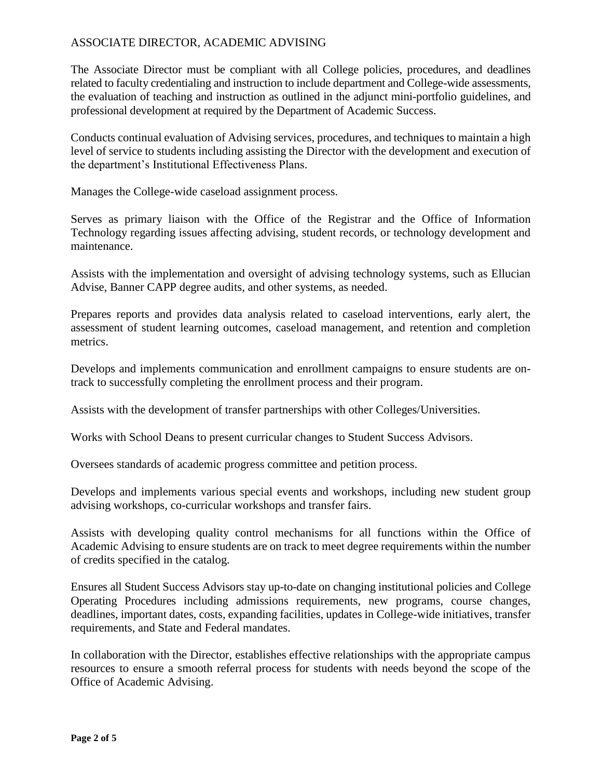The Associate Director must be compliant with all College policies, procedures, and deadlines related to faculty credentialing and instruction to include department and College-wide assessments, the evaluation of teaching and instruction as outlined in the adjunct mini-portfolio guidelines, and professional development at required by the Department of Academic Success.

Conducts continual evaluation of Advising services, procedures, and techniques to maintain a high level of service to students including assisting the Director with the development and execution of the department's Institutional Effectiveness Plans.

Manages the College-wide caseload assignment process.

Serves as primary liaison with the Office of the Registrar and the Office of Information Technology regarding issues affecting advising, student records, or technology development and maintenance.

Assists with the implementation and oversight of advising technology systems, such as Ellucian Advise, Banner CAPP degree audits, and other systems, as needed.

Prepares reports and provides data analysis related to caseload interventions, early alert, the assessment of student learning outcomes, caseload management, and retention and completion metrics.

Develops and implements communication and enrollment campaigns to ensure students are ontrack to successfully completing the enrollment process and their program.

Assists with the development of transfer partnerships with other Colleges/Universities.

Works with School Deans to present curricular changes to Student Success Advisors.

Oversees standards of academic progress committee and petition process.

Develops and implements various special events and workshops, including new student group advising workshops, co-curricular workshops and transfer fairs.

Assists with developing quality control mechanisms for all functions within the Office of Academic Advising to ensure students are on track to meet degree requirements within the number of credits specified in the catalog.

Ensures all Student Success Advisors stay up-to-date on changing institutional policies and College Operating Procedures including admissions requirements, new programs, course changes, deadlines, important dates, costs, expanding facilities, updates in College-wide initiatives, transfer requirements, and State and Federal mandates.

In collaboration with the Director, establishes effective relationships with the appropriate campus resources to ensure a smooth referral process for students with needs beyond the scope of the Office of Academic Advising.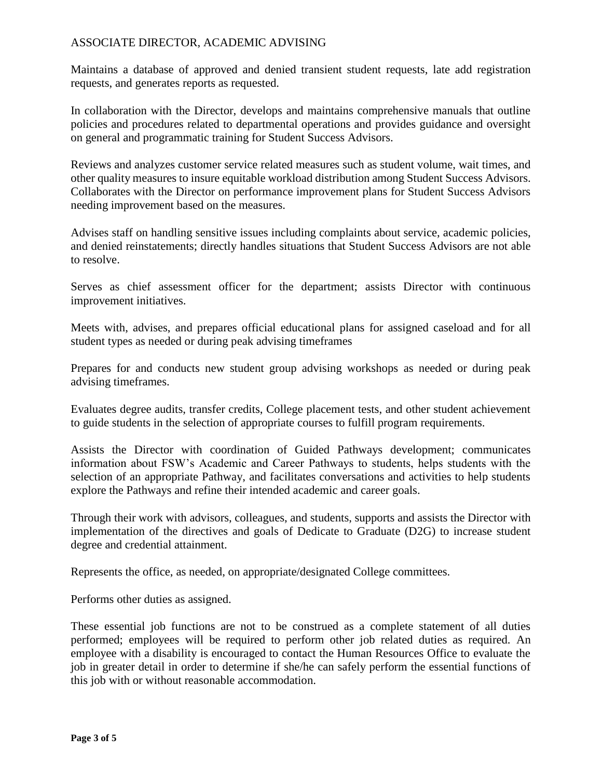Maintains a database of approved and denied transient student requests, late add registration requests, and generates reports as requested.

In collaboration with the Director, develops and maintains comprehensive manuals that outline policies and procedures related to departmental operations and provides guidance and oversight on general and programmatic training for Student Success Advisors.

Reviews and analyzes customer service related measures such as student volume, wait times, and other quality measures to insure equitable workload distribution among Student Success Advisors. Collaborates with the Director on performance improvement plans for Student Success Advisors needing improvement based on the measures.

Advises staff on handling sensitive issues including complaints about service, academic policies, and denied reinstatements; directly handles situations that Student Success Advisors are not able to resolve.

Serves as chief assessment officer for the department; assists Director with continuous improvement initiatives.

Meets with, advises, and prepares official educational plans for assigned caseload and for all student types as needed or during peak advising timeframes

Prepares for and conducts new student group advising workshops as needed or during peak advising timeframes.

Evaluates degree audits, transfer credits, College placement tests, and other student achievement to guide students in the selection of appropriate courses to fulfill program requirements.

Assists the Director with coordination of Guided Pathways development; communicates information about FSW's Academic and Career Pathways to students, helps students with the selection of an appropriate Pathway, and facilitates conversations and activities to help students explore the Pathways and refine their intended academic and career goals.

Through their work with advisors, colleagues, and students, supports and assists the Director with implementation of the directives and goals of Dedicate to Graduate (D2G) to increase student degree and credential attainment.

Represents the office, as needed, on appropriate/designated College committees.

Performs other duties as assigned.

These essential job functions are not to be construed as a complete statement of all duties performed; employees will be required to perform other job related duties as required. An employee with a disability is encouraged to contact the Human Resources Office to evaluate the job in greater detail in order to determine if she/he can safely perform the essential functions of this job with or without reasonable accommodation.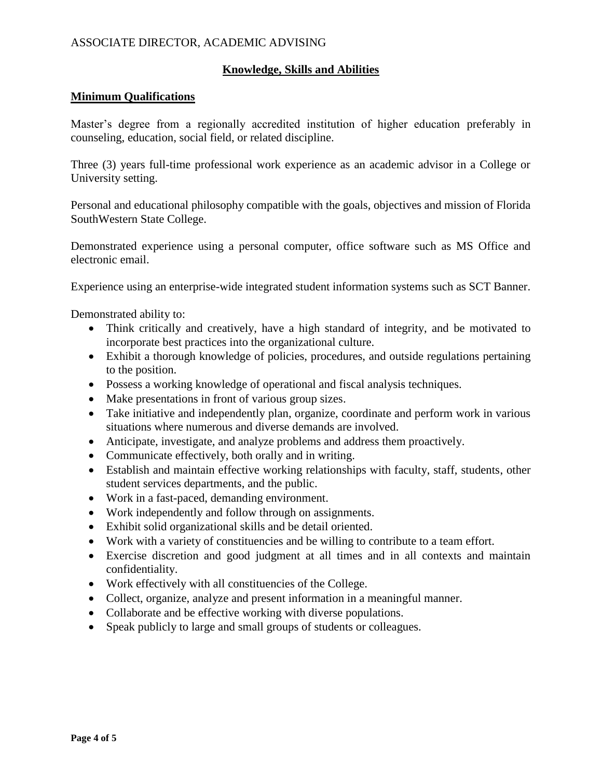#### **Knowledge, Skills and Abilities**

#### **Minimum Qualifications**

Master's degree from a regionally accredited institution of higher education preferably in counseling, education, social field, or related discipline.

Three (3) years full-time professional work experience as an academic advisor in a College or University setting.

Personal and educational philosophy compatible with the goals, objectives and mission of Florida SouthWestern State College.

Demonstrated experience using a personal computer, office software such as MS Office and electronic email.

Experience using an enterprise-wide integrated student information systems such as SCT Banner.

Demonstrated ability to:

- Think critically and creatively, have a high standard of integrity, and be motivated to incorporate best practices into the organizational culture.
- Exhibit a thorough knowledge of policies, procedures, and outside regulations pertaining to the position.
- Possess a working knowledge of operational and fiscal analysis techniques.
- Make presentations in front of various group sizes.
- Take initiative and independently plan, organize, coordinate and perform work in various situations where numerous and diverse demands are involved.
- Anticipate, investigate, and analyze problems and address them proactively.
- Communicate effectively, both orally and in writing.
- Establish and maintain effective working relationships with faculty, staff, students, other student services departments, and the public.
- Work in a fast-paced, demanding environment.
- Work independently and follow through on assignments.
- Exhibit solid organizational skills and be detail oriented.
- Work with a variety of constituencies and be willing to contribute to a team effort.
- Exercise discretion and good judgment at all times and in all contexts and maintain confidentiality.
- Work effectively with all constituencies of the College.
- Collect, organize, analyze and present information in a meaningful manner.
- Collaborate and be effective working with diverse populations.
- Speak publicly to large and small groups of students or colleagues.